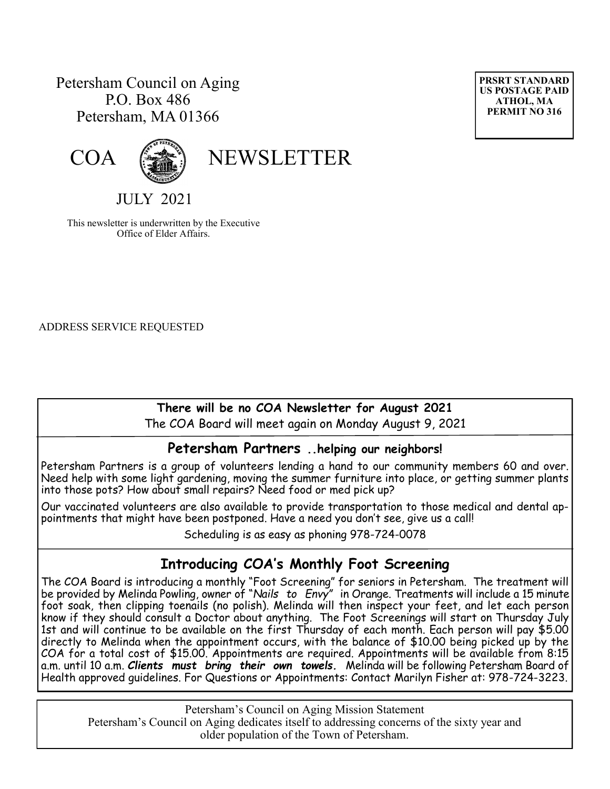# Petersham Council on Aging P.O. Box 486 Petersham, MA 01366





# COA (

JULY 2021

This newsletter is underwritten by the Executive Office of Elder Affairs.

ADDRESS SERVICE REQUESTED

### **There will be no COA Newsletter for August 2021**

The COA Board will meet again on Monday August 9, 2021 

### **Petersham Partners ..helping our neighbors!**

Petersham Partners is a group of volunteers lending a hand to our community members 60 and over. Need help with some light gardening, moving the summer furniture into place, or getting summer plants into those pots? How about small repairs? Need food or med pick up?

Our vaccinated volunteers are also available to provide transportation to those medical and dental appointments that might have been postponed. Have a need you don't see, give us a call!

Scheduling is as easy as phoning 978-724-0078

# **Introducing COA's Monthly Foot Screening**

 The COA Board is introducing a monthly "Foot Screening" for seniors in Petersham. The treatment will be provided by Melinda Powling, owner of "*Nails to Envy"* in Orange. Treatments will include a 15 minute foot soak, then clipping toenails (no polish). Melinda will then inspect your feet, and let each person know if they should consult a Doctor about anything. The Foot Screenings will start on Thursday July 1st and will continue to be available on the first Thursday of each month. Each person will pay \$5.00 directly to Melinda when the appointment occurs, with the balance of \$10.00 being picked up by the COA for a total cost of \$15.00. Appointments are required. Appointments will be available from 8:15 a.m. until 10 a.m. *Clients must bring their own towels.* Melinda will be following Petersham Board of Health approved guidelines. For Questions or Appointments: Contact Marilyn Fisher at: 978-724-3223.

Petersham's Council on Aging Mission Statement Petersham's Council on Aging dedicates itself to addressing concerns of the sixty year and older population of the Town of Petersham.

**PRSRT STANDARD US POSTAGE PAID ATHOL, MA PERMIT NO 316**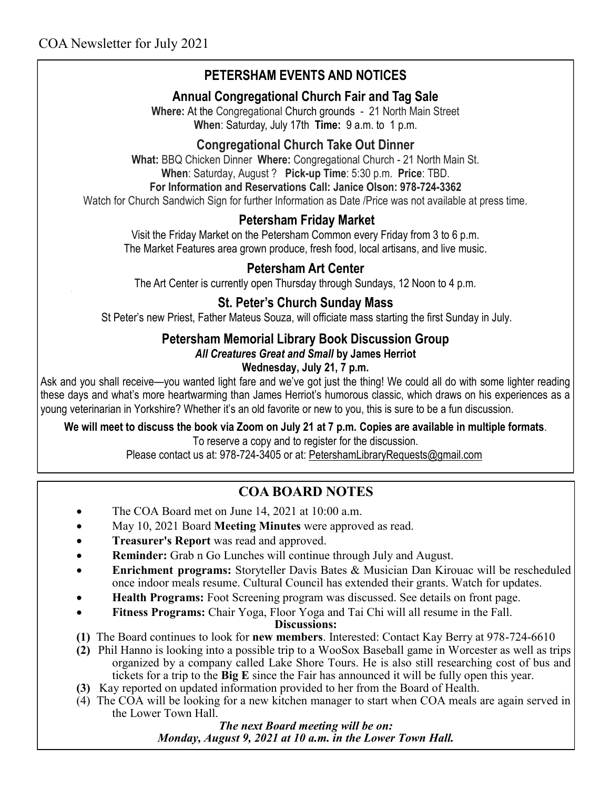# **PETERSHAM EVENTS AND NOTICES**

### **Annual Congregational Church Fair and Tag Sale**

**Where:** At the Congregational Church grounds - 21 North Main Street **When**: Saturday, July 17th **Time:** 9 a.m. to 1 p.m.

### **Congregational Church Take Out Dinner**

**What:** BBQ Chicken Dinner **Where:** Congregational Church - 21 North Main St. **When**: Saturday, August ? **Pick-up Time**: 5:30 p.m. **Price**: TBD.

#### **For Information and Reservations Call: Janice Olson: 978-724-3362**

Watch for Church Sandwich Sign for further Information as Date /Price was not available at press time.

### **Petersham Friday Market**

Visit the Friday Market on the Petersham Common every Friday from 3 to 6 p.m. The Market Features area grown produce, fresh food, local artisans, and live music.

### **Petersham Art Center**

The Art Center is currently open Thursday through Sundays, 12 Noon to 4 p.m.

### **St. Peter's Church Sunday Mass**

St Peter's new Priest, Father Mateus Souza, will officiate mass starting the first Sunday in July.

# **Petersham Memorial Library Book Discussion Group**

#### *All Creatures Great and Small* **by James Herriot**

### **Wednesday, July 21, 7 p.m.**

Ask and you shall receive—you wanted light fare and we've got just the thing! We could all do with some lighter reading these days and what's more heartwarming than James Herriot's humorous classic, which draws on his experiences as a young veterinarian in Yorkshire? Whether it's an old favorite or new to you, this is sure to be a fun discussion.

#### **We will meet to discuss the book via Zoom on July 21 at 7 p.m. Copies are available in multiple formats**.

To reserve a copy and to register for the discussion.

Please contact us at: 978-724-3405 or at: [PetershamLibraryRequests@gmail.com](mailto:PetershamLibraryRequests@gmail.com)

# **COA BOARD NOTES**

- The COA Board met on June 14, 2021 at 10:00 a.m.
- May 10, 2021 Board **Meeting Minutes** were approved as read.
- **Treasurer's Report** was read and approved.
- **Reminder:** Grab n Go Lunches will continue through July and August.
- **Enrichment programs:** Storyteller Davis Bates & Musician Dan Kirouac will be rescheduled once indoor meals resume. Cultural Council has extended their grants. Watch for updates.
- **Health Programs:** Foot Screening program was discussed. See details on front page.
- **Fitness Programs:** Chair Yoga, Floor Yoga and Tai Chi will all resume in the Fall.

**Discussions:**

- **(1)** The Board continues to look for **new members**. Interested: Contact Kay Berry at 978-724-6610
- **(2)** Phil Hanno is looking into a possible trip to a WooSox Baseball game in Worcester as well as trips organized by a company called Lake Shore Tours. He is also still researching cost of bus and tickets for a trip to the **Big E** since the Fair has announced it will be fully open this year.
- **(3)** Kay reported on updated information provided to her from the Board of Health.
- (4) The COA will be looking for a new kitchen manager to start when COA meals are again served in the Lower Town Hall.

*The next Board meeting will be on: Monday, August 9, 2021 at 10 a.m. in the Lower Town Hall.*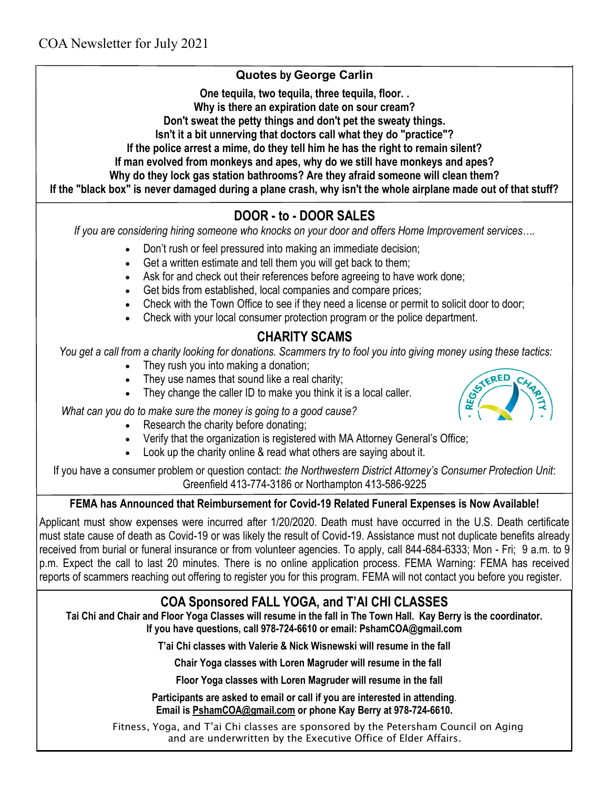### **Quotes by George Carlin**

**One tequila, two tequila, three tequila, floor. .** 

**Why is there an expiration date on sour cream?**

**Don't sweat the petty things and don't pet the sweaty things.**

**Isn't it a bit unnerving that doctors call what they do "practice"?**

**If the police arrest a mime, do they tell him he has the right to remain silent?**

**If man evolved from monkeys and apes, why do we still have monkeys and apes?**

**Why do they lock gas station bathrooms? Are they afraid someone will clean them?**

**If the "black box" is never damaged during a plane crash, why isn't the whole airplane made out of that stuff?**

# **DOOR - to - DOOR SALES**

*If you are considering hiring someone who knocks on your door and offers Home Improvement services….*

- Don't rush or feel pressured into making an immediate decision;
- Get a written estimate and tell them you will get back to them;
- Ask for and check out their references before agreeing to have work done;
- Get bids from established, local companies and compare prices;
- Check with the Town Office to see if they need a license or permit to solicit door to door;
- Check with your local consumer protection program or the police department.

# **CHARITY SCAMS**

*You get a call from a charity looking for donations. Scammers try to fool you into giving money using these tactics:*

- They rush you into making a donation;
- They use names that sound like a real charity;
- They change the caller ID to make you think it is a local caller.



- Research the charity before donating:
- Verify that the organization is registered with MA Attorney General's Office;
- Look up the charity online & read what others are saying about it.

If you have a consumer problem or question contact: *the Northwestern District Attorney's Consumer Protection Unit*: Greenfield 413-774-3186 or Northampton 413-586-9225

### **FEMA has Announced that Reimbursement for Covid-19 Related Funeral Expenses is Now Available!**

Applicant must show expenses were incurred after 1/20/2020. Death must have occurred in the U.S. Death certificate must state cause of death as Covid-19 or was likely the result of Covid-19. Assistance must not duplicate benefits already received from burial or funeral insurance or from volunteer agencies. To apply, call 844-684-6333; Mon - Fri; 9 a.m. to 9 p.m. Expect the call to last 20 minutes. There is no online application process. FEMA Warning: FEMA has received reports of scammers reaching out offering to register you for this program. FEMA will not contact you before you register.

# **COA Sponsored FALL YOGA, and T'AI CHI CLASSES**

**Tai Chi and Chair and Floor Yoga Classes will resume in the fall in The Town Hall. Kay Berry is the coordinator. If you have questions, call 978-724-6610 or email: PshamCOA@gmail.com**

**T'ai Chi classes with Valerie & Nick Wisnewski will resume in the fall** 

**Chair Yoga classes with Loren Magruder will resume in the fall**

 **Floor Yoga classes with Loren Magruder will resume in the fall** 

**Participants are asked to email or call if you are interested in attending**. **Email is [PshamCOA@gmail.com](mailto:PshamCOA@gmail.com) or phone Kay Berry at 978-724-6610.** 

Fitness, Yoga, and T'ai Chi classes are sponsored by the Petersham Council on Aging and are underwritten by the Executive Office of Elder Affairs.